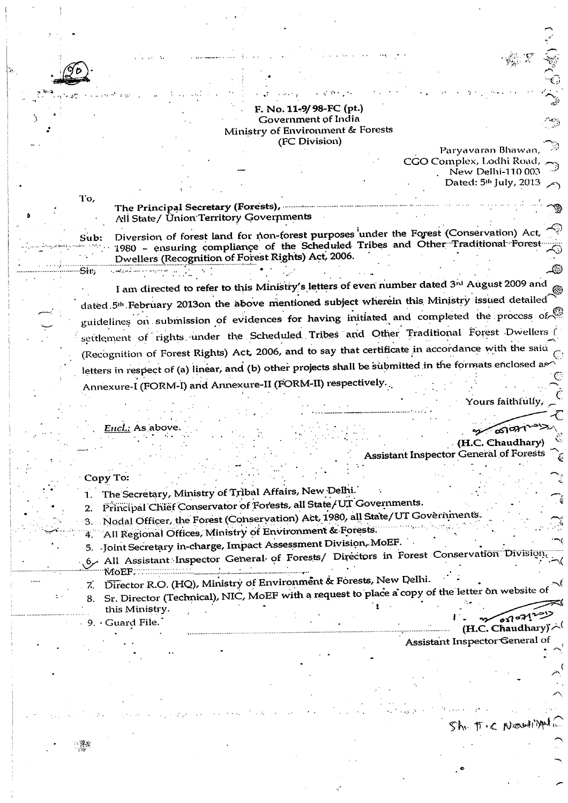#### F. No. 11-9/98-FC (pt.) Government of India Ministry of Environment & Forests (FC Division)

Paryavaran Bhawan. CGO Complex, Lodhi Road, New Delhi-110 003 Dated: 5<sup>th</sup> July, 2013

The Principal Secretary (Forests), ............... All State/ Union Territory Governments

Diversion of forest land for non-forest purposes under the Forest (Conservation) Ac 1980 - ensuring compliance of the Scheduled Tribes and Other Traditional Forest Dwellers (Recognition of Forest Rights) Act, 2006.

I am directed to refer to this Ministry's letters of even number dated 3rd August 2009 and dated 5<sup>th</sup> February 2013on the above mentioned subject wherein this Ministry issued detailed guidelines on submission of evidences for having initiated and completed the process of settlement of rights under the Scheduled Tribes and Other Traditional Forest Dwellers ( (Recognition of Forest Rights) Act, 2006, and to say that certificate in accordance with the said letters in respect of (a) linear, and (b) other projects shall be submitted in the formats enclosed a Annexure-I (FORM-I) and Annexure-II (FORM-II) respectively.

Yours faithfull

### Encl.: As above

### (H.C. Chaudharv **Assistant Inspector General of Forests**

# Copy To:

To.

Sub:

Sir.

- 1. The Secretary, Ministry of Tribal Affairs, New Delhi.
- Principal Chief Conservator of Forests, all State/UT Governments.
- 3. Nodal Officer, the Forest (Conservation) Act, 1980, all State/UT Governments.
- All Regional Offices, Ministry of Environment & Forests.
- 5. Joint Secretary in-charge, Impact Assessment Division, MoEF.
- All Assistant Inspector General of Forests/ Directors in Forest Conservation Division MoEF. .
- Director R.O. (HQ), Ministry of Environment & Forests, New Delhi.  $Z_{\cdot}$
- Sr. Director (Technical), NIC, MoEF with a request to place a copy of the letter on website of this Ministry.  $\delta \Omega$ o $\mathcal{M}^2$
- 9. Guard File.

(H.C. Chaudhary)

Sh. T.C Newli

Assistant Inspector General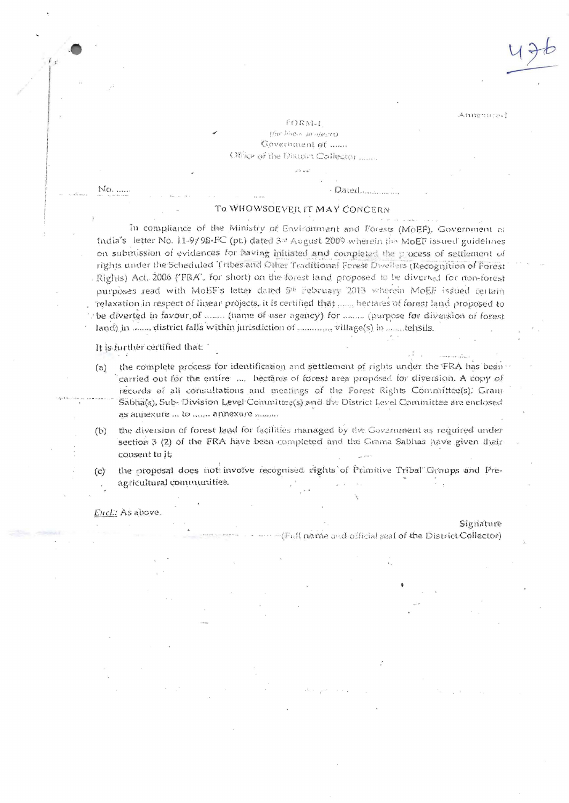Legencomme.

#### $1 - N$   $\Omega$  Cr<sup>+</sup>

tfar hinem unuferret Government of ...... Office of the District Collector

No. .....

#### To WHOWSOEVER IT MAY CONCERN

Dated......

In compliance of the Ministry of Environment and Forests (MoEF), Government of India's letter No. 11-9/98-FC (pt.) dated 3rd August 2009 wherein the MoEF issued guidelines on submission of evidences for having initiated and completed the process of settlement of rights under the Scheduled Tribes and Other Traditional Forest Dwellers (Recognition of Forest Rights) Act, 2006 ('FRA', for short) on the forest land proposed to be diverted for mon-forest purposes read with MoEF's letter dated 5th February 2013 wherein MoEF issued certain relaxation in respect of linear projects, it is certified that ....., hectares of forest land proposed to be diverted in favour of ........ (name of user agency) for ........ (purpose for diversion of forest land) in ....... district falls within jurisdiction of www.w.willage(s) in .......tehsils.

It is further certified that:

- the complete process for identification and settlement of rights under the FRA has been  $(a)$ carried out for the entire .... hectares of forest area proposed for diversion. A copy of records of all consultations and meetings of the Forest Rights Committee(s). Grany Sabha(s), Sub- Division Level Committee(s) and the District Level Committee are enclosed as annexure ... to ....... annexure ..........
- the diversion of forest land for facilities managed by the Government as required under  $(b)$ section 3 (2) of the FRA have been completed and the Grama Sabhas have given their consent to it;
- the proposal does not involve recognised rights of Primitive Tribal Groups and Pre- $(c)$ agricultural communities.

Encl.: As above.

Signature

(Full name and official seal of the District Collector)